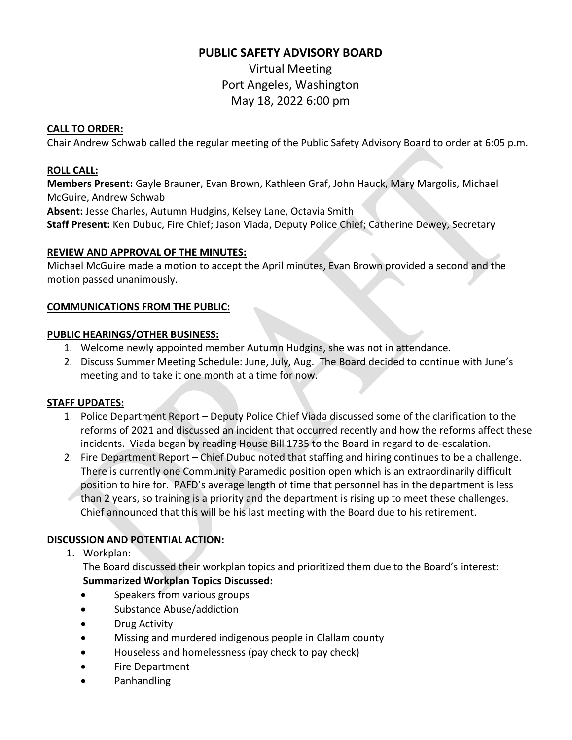## **PUBLIC SAFETY ADVISORY BOARD**

Virtual Meeting Port Angeles, Washington May 18, 2022 6:00 pm

#### **CALL TO ORDER:**

Chair Andrew Schwab called the regular meeting of the Public Safety Advisory Board to order at 6:05 p.m.

## **ROLL CALL:**

**Members Present:** Gayle Brauner, Evan Brown, Kathleen Graf, John Hauck, Mary Margolis, Michael McGuire, Andrew Schwab

**Absent:** Jesse Charles, Autumn Hudgins, Kelsey Lane, Octavia Smith

**Staff Present:** Ken Dubuc, Fire Chief; Jason Viada, Deputy Police Chief; Catherine Dewey, Secretary

#### **REVIEW AND APPROVAL OF THE MINUTES:**

Michael McGuire made a motion to accept the April minutes, Evan Brown provided a second and the motion passed unanimously.

## **COMMUNICATIONS FROM THE PUBLIC:**

#### **PUBLIC HEARINGS/OTHER BUSINESS:**

- 1. Welcome newly appointed member Autumn Hudgins, she was not in attendance.
- 2. Discuss Summer Meeting Schedule: June, July, Aug. The Board decided to continue with June's meeting and to take it one month at a time for now.

## **STAFF UPDATES:**

- 1. Police Department Report Deputy Police Chief Viada discussed some of the clarification to the reforms of 2021 and discussed an incident that occurred recently and how the reforms affect these incidents. Viada began by reading House Bill 1735 to the Board in regard to de-escalation.
- 2. Fire Department Report Chief Dubuc noted that staffing and hiring continues to be a challenge. There is currently one Community Paramedic position open which is an extraordinarily difficult position to hire for. PAFD's average length of time that personnel has in the department is less than 2 years, so training is a priority and the department is rising up to meet these challenges. Chief announced that this will be his last meeting with the Board due to his retirement.

## **DISCUSSION AND POTENTIAL ACTION:**

## 1. Workplan:

The Board discussed their workplan topics and prioritized them due to the Board's interest: **Summarized Workplan Topics Discussed:** 

- Speakers from various groups
- Substance Abuse/addiction
- Drug Activity
- Missing and murdered indigenous people in Clallam county
- Houseless and homelessness (pay check to pay check)
- Fire Department
- Panhandling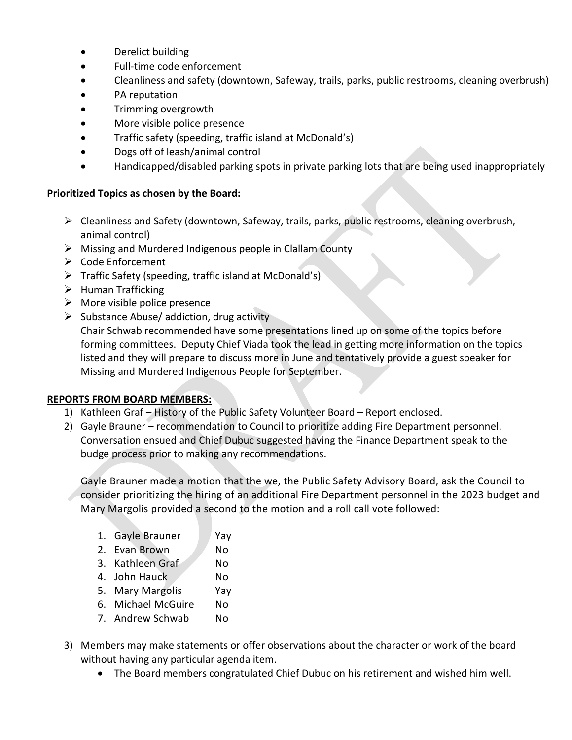- Derelict building
- Full-time code enforcement
- Cleanliness and safety (downtown, Safeway, trails, parks, public restrooms, cleaning overbrush)
- PA reputation
- Trimming overgrowth
- More visible police presence
- Traffic safety (speeding, traffic island at McDonald's)
- Dogs off of leash/animal control
- Handicapped/disabled parking spots in private parking lots that are being used inappropriately

#### **Prioritized Topics as chosen by the Board:**

- ➢ Cleanliness and Safety (downtown, Safeway, trails, parks, public restrooms, cleaning overbrush, animal control)
- ➢ Missing and Murdered Indigenous people in Clallam County
- ➢ Code Enforcement
- ➢ Traffic Safety (speeding, traffic island at McDonald's)
- ➢ Human Trafficking
- $\triangleright$  More visible police presence
- ➢ Substance Abuse/ addiction, drug activity

Chair Schwab recommended have some presentations lined up on some of the topics before forming committees. Deputy Chief Viada took the lead in getting more information on the topics listed and they will prepare to discuss more in June and tentatively provide a guest speaker for Missing and Murdered Indigenous People for September.

#### **REPORTS FROM BOARD MEMBERS:**

- 1) Kathleen Graf History of the Public Safety Volunteer Board Report enclosed.
- 2) Gayle Brauner recommendation to Council to prioritize adding Fire Department personnel. Conversation ensued and Chief Dubuc suggested having the Finance Department speak to the budge process prior to making any recommendations.

Gayle Brauner made a motion that the we, the Public Safety Advisory Board, ask the Council to consider prioritizing the hiring of an additional Fire Department personnel in the 2023 budget and Mary Margolis provided a second to the motion and a roll call vote followed:

| 1. Gayle Brauner | Yay |
|------------------|-----|
|------------------|-----|

- 2. Evan Brown No
- 3. Kathleen Graf No
- 4. John Hauck No
- 5. Mary Margolis Yay
- 6. Michael McGuire No
- 7. Andrew Schwab No
- 3) Members may make statements or offer observations about the character or work of the board without having any particular agenda item.
	- The Board members congratulated Chief Dubuc on his retirement and wished him well.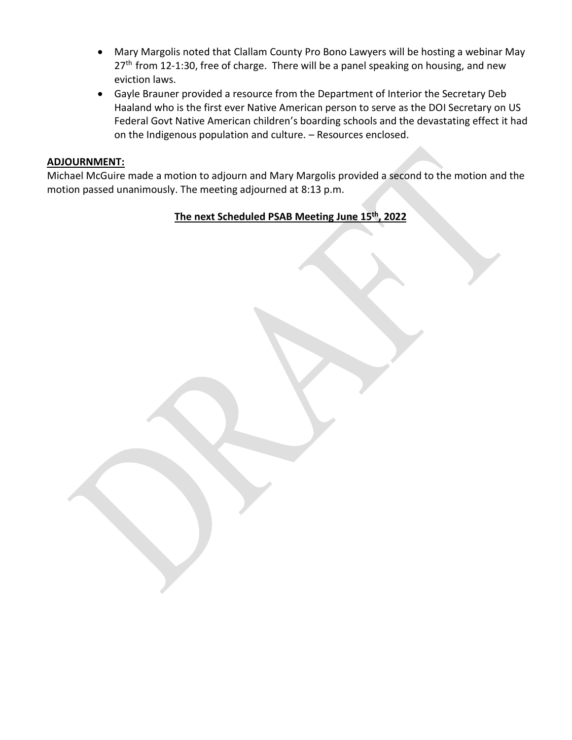- Mary Margolis noted that Clallam County Pro Bono Lawyers will be hosting a webinar May  $27<sup>th</sup>$  from 12-1:30, free of charge. There will be a panel speaking on housing, and new eviction laws.
- Gayle Brauner provided a resource from the Department of Interior the Secretary Deb Haaland who is the first ever Native American person to serve as the DOI Secretary on US Federal Govt Native American children's boarding schools and the devastating effect it had on the Indigenous population and culture. – Resources enclosed.

#### **ADJOURNMENT:**

Michael McGuire made a motion to adjourn and Mary Margolis provided a second to the motion and the motion passed unanimously. The meeting adjourned at 8:13 p.m.

## **The next Scheduled PSAB Meeting June 15th, 2022**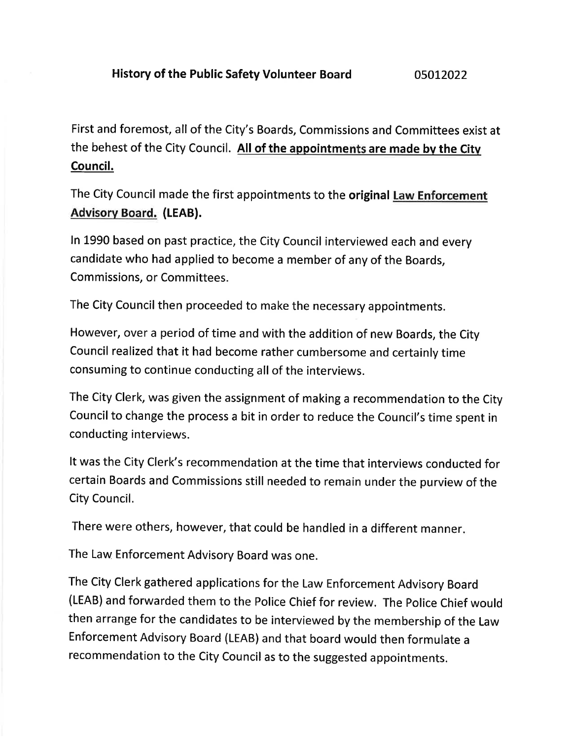First and foremost, all of the City's Boards, Commissions and Committees exist at the behest of the City Council. All of the appointments are made by the City Council.

The City Council made the first appointments to the original Law Enforcement **Advisory Board. (LEAB).** 

In 1990 based on past practice, the City Council interviewed each and every candidate who had applied to become a member of any of the Boards, Commissions, or Committees.

The City Council then proceeded to make the necessary appointments.

However, over a period of time and with the addition of new Boards, the City Council realized that it had become rather cumbersome and certainly time consuming to continue conducting all of the interviews.

The City Clerk, was given the assignment of making a recommendation to the City Council to change the process a bit in order to reduce the Council's time spent in conducting interviews.

It was the City Clerk's recommendation at the time that interviews conducted for certain Boards and Commissions still needed to remain under the purview of the City Council.

There were others, however, that could be handled in a different manner.

The Law Enforcement Advisory Board was one.

The City Clerk gathered applications for the Law Enforcement Advisory Board (LEAB) and forwarded them to the Police Chief for review. The Police Chief would then arrange for the candidates to be interviewed by the membership of the Law Enforcement Advisory Board (LEAB) and that board would then formulate a recommendation to the City Council as to the suggested appointments.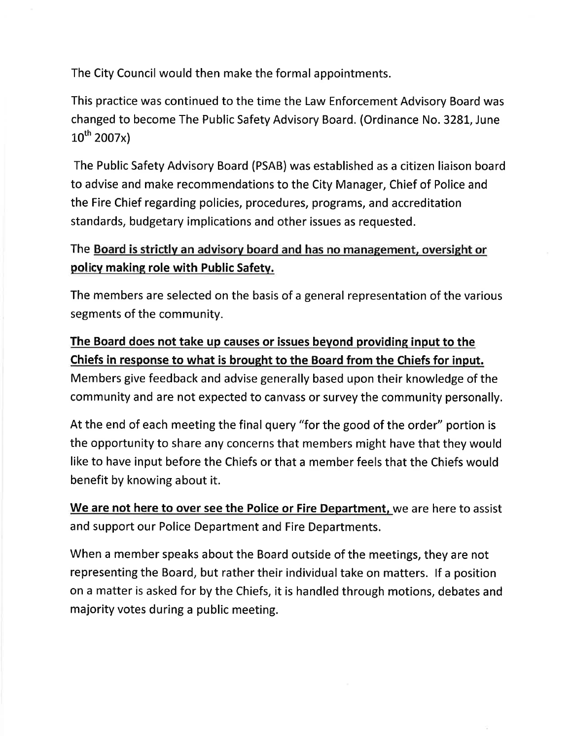The City Council would then make the formal appointments.

This practice was continued to the time the Law Enforcement Advisory Board was changed to become The Public Safety Advisory Board. (Ordinance No. 3281, June  $10^{th}$  2007x)

The Public Safety Advisory Board (PSAB) was established as a citizen liaison board to advise and make recommendations to the City Manager, Chief of Police and the Fire Chief regarding policies, procedures, programs, and accreditation standards, budgetary implications and other issues as requested.

## The Board is strictly an advisory board and has no management, oversight or policy making role with Public Safety.

The members are selected on the basis of a general representation of the various segments of the community.

## The Board does not take up causes or issues beyond providing input to the Chiefs in response to what is brought to the Board from the Chiefs for input. Members give feedback and advise generally based upon their knowledge of the

community and are not expected to canvass or survey the community personally.

At the end of each meeting the final query "for the good of the order" portion is the opportunity to share any concerns that members might have that they would like to have input before the Chiefs or that a member feels that the Chiefs would benefit by knowing about it.

We are not here to over see the Police or Fire Department, we are here to assist and support our Police Department and Fire Departments.

When a member speaks about the Board outside of the meetings, they are not representing the Board, but rather their individual take on matters. If a position on a matter is asked for by the Chiefs, it is handled through motions, debates and majority votes during a public meeting.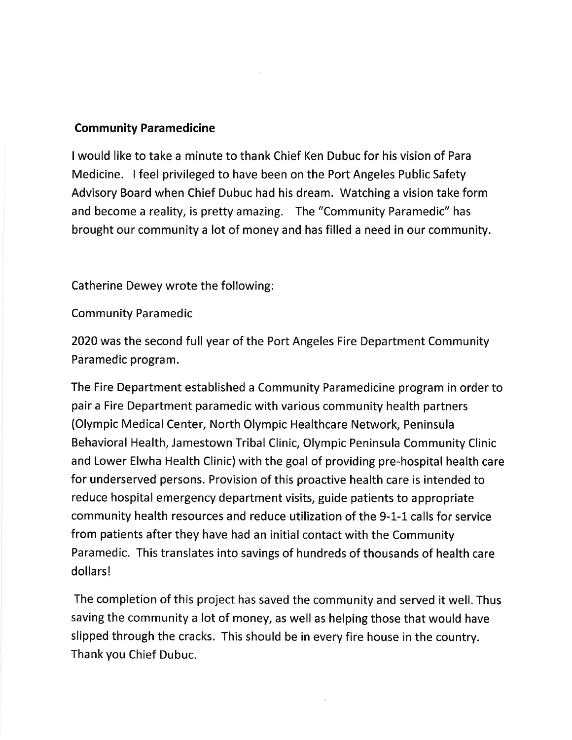## **Community Paramedicine**

I would like to take a minute to thank Chief Ken Dubuc for his vision of Para Medicine. I feel privileged to have been on the Port Angeles Public Safety Advisory Board when Chief Dubuc had his dream. Watching a vision take form and become a reality, is pretty amazing. The "Community Paramedic" has brought our community a lot of money and has filled a need in our community.

Catherine Dewey wrote the following:

## **Community Paramedic**

2020 was the second full year of the Port Angeles Fire Department Community Paramedic program.

The Fire Department established a Community Paramedicine program in order to pair a Fire Department paramedic with various community health partners (Olympic Medical Center, North Olympic Healthcare Network, Peninsula Behavioral Health, Jamestown Tribal Clinic, Olympic Peninsula Community Clinic and Lower Elwha Health Clinic) with the goal of providing pre-hospital health care for underserved persons. Provision of this proactive health care is intended to reduce hospital emergency department visits, guide patients to appropriate community health resources and reduce utilization of the 9-1-1 calls for service from patients after they have had an initial contact with the Community Paramedic. This translates into savings of hundreds of thousands of health care dollars!

The completion of this project has saved the community and served it well. Thus saving the community a lot of money, as well as helping those that would have slipped through the cracks. This should be in every fire house in the country. Thank you Chief Dubuc.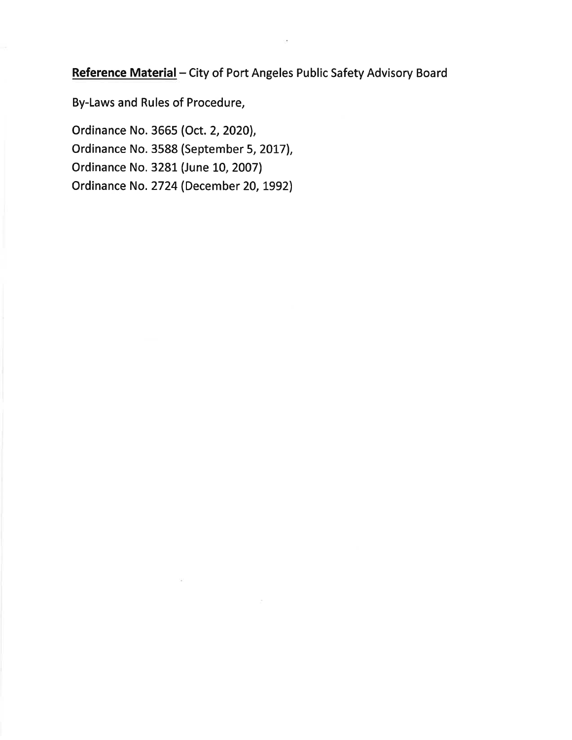Reference Material - City of Port Angeles Public Safety Advisory Board

By-Laws and Rules of Procedure,

Ordinance No. 3665 (Oct. 2, 2020), Ordinance No. 3588 (September 5, 2017), Ordinance No. 3281 (June 10, 2007) Ordinance No. 2724 (December 20, 1992)